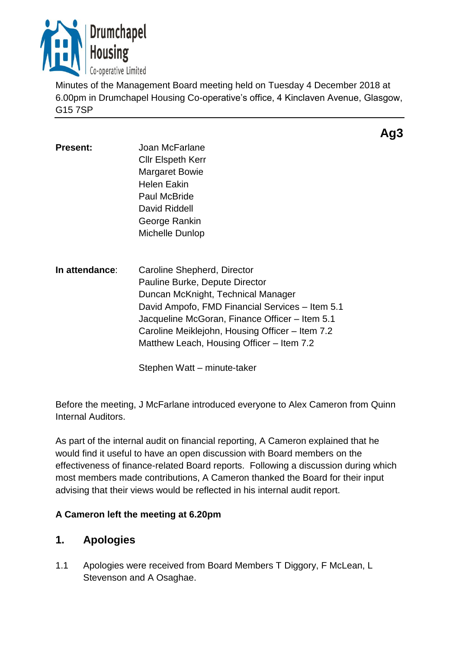

Minutes of the Management Board meeting held on Tuesday 4 December 2018 at 6.00pm in Drumchapel Housing Co-operative's office, 4 Kinclaven Avenue, Glasgow, G15 7SP

- Present: **Joan McFarlane** Cllr Elspeth Kerr Margaret Bowie Helen Eakin Paul McBride David Riddell George Rankin Michelle Dunlop
- **In attendance**: Caroline Shepherd, Director Pauline Burke, Depute Director Duncan McKnight, Technical Manager David Ampofo, FMD Financial Services – Item 5.1 Jacqueline McGoran, Finance Officer – Item 5.1 Caroline Meiklejohn, Housing Officer – Item 7.2 Matthew Leach, Housing Officer – Item 7.2

Stephen Watt – minute-taker

Before the meeting, J McFarlane introduced everyone to Alex Cameron from Quinn Internal Auditors.

As part of the internal audit on financial reporting, A Cameron explained that he would find it useful to have an open discussion with Board members on the effectiveness of finance-related Board reports. Following a discussion during which most members made contributions, A Cameron thanked the Board for their input advising that their views would be reflected in his internal audit report.

## **A Cameron left the meeting at 6.20pm**

# **1. Apologies**

1.1 Apologies were received from Board Members T Diggory, F McLean, L Stevenson and A Osaghae.

**Ag3**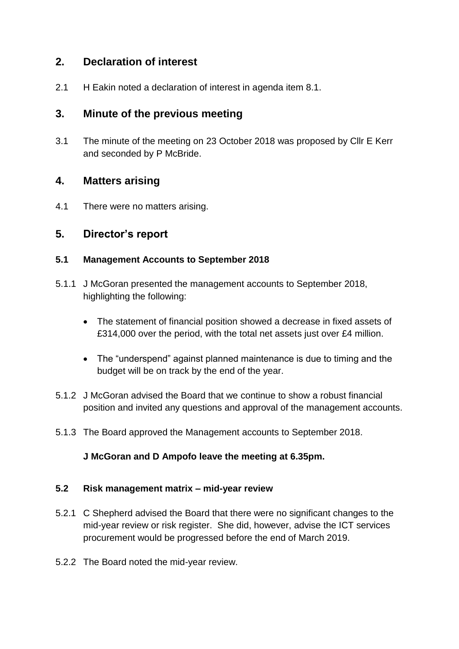# **2. Declaration of interest**

2.1 H Eakin noted a declaration of interest in agenda item 8.1.

# **3. Minute of the previous meeting**

3.1 The minute of the meeting on 23 October 2018 was proposed by Cllr E Kerr and seconded by P McBride.

## **4. Matters arising**

4.1 There were no matters arising.

# **5. Director's report**

### **5.1 Management Accounts to September 2018**

- 5.1.1 J McGoran presented the management accounts to September 2018, highlighting the following:
	- The statement of financial position showed a decrease in fixed assets of £314,000 over the period, with the total net assets just over £4 million.
	- The "underspend" against planned maintenance is due to timing and the budget will be on track by the end of the year.
- 5.1.2 J McGoran advised the Board that we continue to show a robust financial position and invited any questions and approval of the management accounts.
- 5.1.3 The Board approved the Management accounts to September 2018.

### **J McGoran and D Ampofo leave the meeting at 6.35pm.**

### **5.2 Risk management matrix – mid-year review**

- 5.2.1 C Shepherd advised the Board that there were no significant changes to the mid-year review or risk register. She did, however, advise the ICT services procurement would be progressed before the end of March 2019.
- 5.2.2 The Board noted the mid-year review.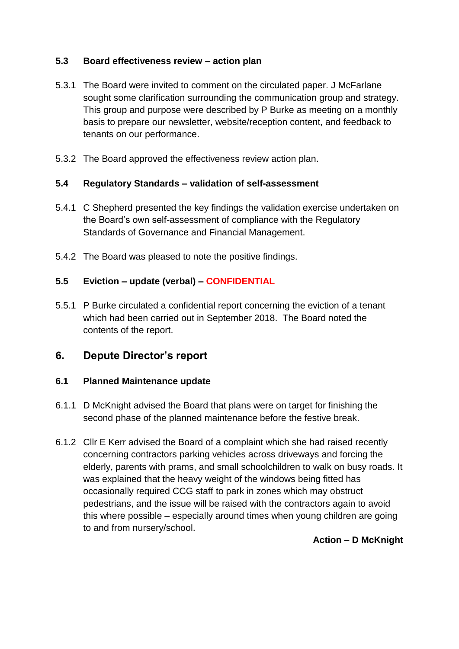### **5.3 Board effectiveness review – action plan**

- 5.3.1 The Board were invited to comment on the circulated paper. J McFarlane sought some clarification surrounding the communication group and strategy. This group and purpose were described by P Burke as meeting on a monthly basis to prepare our newsletter, website/reception content, and feedback to tenants on our performance.
- 5.3.2 The Board approved the effectiveness review action plan.

#### **5.4 Regulatory Standards – validation of self-assessment**

- 5.4.1 C Shepherd presented the key findings the validation exercise undertaken on the Board's own self-assessment of compliance with the Regulatory Standards of Governance and Financial Management.
- 5.4.2 The Board was pleased to note the positive findings.

#### **5.5 Eviction – update (verbal) – CONFIDENTIAL**

5.5.1 P Burke circulated a confidential report concerning the eviction of a tenant which had been carried out in September 2018. The Board noted the contents of the report.

## **6. Depute Director's report**

#### **6.1 Planned Maintenance update**

- 6.1.1 D McKnight advised the Board that plans were on target for finishing the second phase of the planned maintenance before the festive break.
- 6.1.2 Cllr E Kerr advised the Board of a complaint which she had raised recently concerning contractors parking vehicles across driveways and forcing the elderly, parents with prams, and small schoolchildren to walk on busy roads. It was explained that the heavy weight of the windows being fitted has occasionally required CCG staff to park in zones which may obstruct pedestrians, and the issue will be raised with the contractors again to avoid this where possible – especially around times when young children are going to and from nursery/school.

### **Action – D McKnight**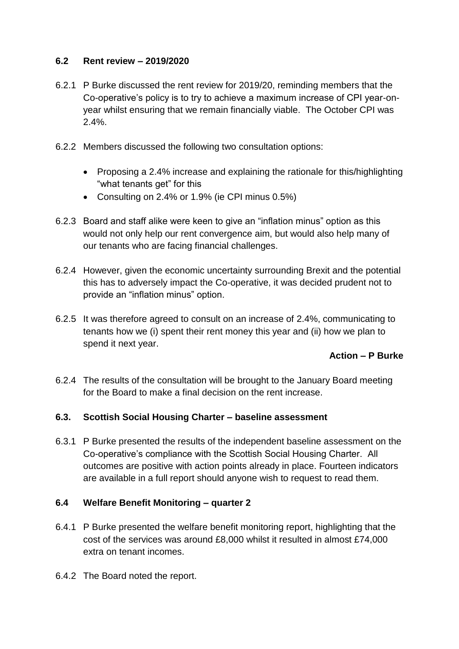### **6.2 Rent review – 2019/2020**

- 6.2.1 P Burke discussed the rent review for 2019/20, reminding members that the Co-operative's policy is to try to achieve a maximum increase of CPI year-onyear whilst ensuring that we remain financially viable. The October CPI was 2.4%.
- 6.2.2 Members discussed the following two consultation options:
	- Proposing a 2.4% increase and explaining the rationale for this/highlighting "what tenants get" for this
	- Consulting on 2.4% or 1.9% (ie CPI minus 0.5%)
- 6.2.3 Board and staff alike were keen to give an "inflation minus" option as this would not only help our rent convergence aim, but would also help many of our tenants who are facing financial challenges.
- 6.2.4 However, given the economic uncertainty surrounding Brexit and the potential this has to adversely impact the Co-operative, it was decided prudent not to provide an "inflation minus" option.
- 6.2.5 It was therefore agreed to consult on an increase of 2.4%, communicating to tenants how we (i) spent their rent money this year and (ii) how we plan to spend it next year.

### **Action – P Burke**

6.2.4 The results of the consultation will be brought to the January Board meeting for the Board to make a final decision on the rent increase.

### **6.3. Scottish Social Housing Charter – baseline assessment**

6.3.1 P Burke presented the results of the independent baseline assessment on the Co-operative's compliance with the Scottish Social Housing Charter. All outcomes are positive with action points already in place. Fourteen indicators are available in a full report should anyone wish to request to read them.

### **6.4 Welfare Benefit Monitoring – quarter 2**

- 6.4.1 P Burke presented the welfare benefit monitoring report, highlighting that the cost of the services was around £8,000 whilst it resulted in almost £74,000 extra on tenant incomes.
- 6.4.2 The Board noted the report.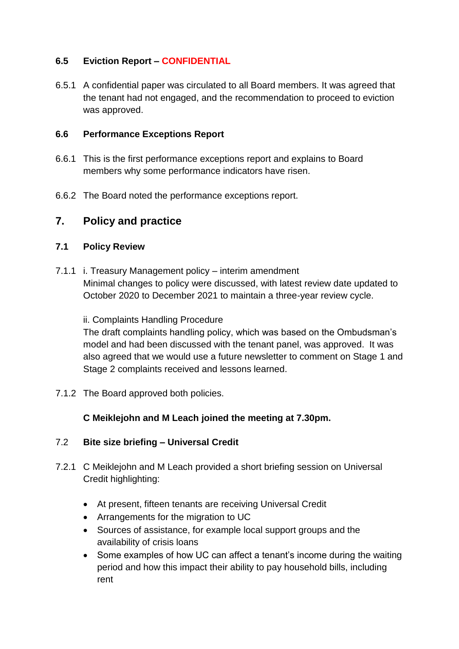### **6.5 Eviction Report – CONFIDENTIAL**

6.5.1 A confidential paper was circulated to all Board members. It was agreed that the tenant had not engaged, and the recommendation to proceed to eviction was approved.

#### **6.6 Performance Exceptions Report**

- 6.6.1 This is the first performance exceptions report and explains to Board members why some performance indicators have risen.
- 6.6.2 The Board noted the performance exceptions report.

## **7. Policy and practice**

### **7.1 Policy Review**

7.1.1 i. Treasury Management policy – interim amendment Minimal changes to policy were discussed, with latest review date updated to October 2020 to December 2021 to maintain a three-year review cycle.

#### ii. Complaints Handling Procedure

The draft complaints handling policy, which was based on the Ombudsman's model and had been discussed with the tenant panel, was approved. It was also agreed that we would use a future newsletter to comment on Stage 1 and Stage 2 complaints received and lessons learned.

7.1.2 The Board approved both policies.

### **C Meiklejohn and M Leach joined the meeting at 7.30pm.**

### 7.2 **Bite size briefing – Universal Credit**

- 7.2.1 C Meiklejohn and M Leach provided a short briefing session on Universal Credit highlighting:
	- At present, fifteen tenants are receiving Universal Credit
	- Arrangements for the migration to UC
	- Sources of assistance, for example local support groups and the availability of crisis loans
	- Some examples of how UC can affect a tenant's income during the waiting period and how this impact their ability to pay household bills, including rent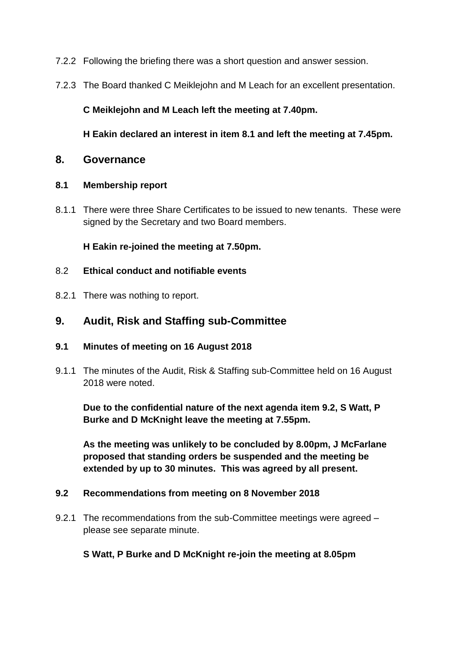- 7.2.2 Following the briefing there was a short question and answer session.
- 7.2.3 The Board thanked C Meiklejohn and M Leach for an excellent presentation.

### **C Meiklejohn and M Leach left the meeting at 7.40pm.**

**H Eakin declared an interest in item 8.1 and left the meeting at 7.45pm.**

### **8. Governance**

#### **8.1 Membership report**

8.1.1 There were three Share Certificates to be issued to new tenants. These were signed by the Secretary and two Board members.

**H Eakin re-joined the meeting at 7.50pm.**

- 8.2 **Ethical conduct and notifiable events**
- 8.2.1 There was nothing to report.

## **9. Audit, Risk and Staffing sub-Committee**

### **9.1 Minutes of meeting on 16 August 2018**

9.1.1 The minutes of the Audit, Risk & Staffing sub-Committee held on 16 August 2018 were noted.

**Due to the confidential nature of the next agenda item 9.2, S Watt, P Burke and D McKnight leave the meeting at 7.55pm.** 

**As the meeting was unlikely to be concluded by 8.00pm, J McFarlane proposed that standing orders be suspended and the meeting be extended by up to 30 minutes. This was agreed by all present.**

### **9.2 Recommendations from meeting on 8 November 2018**

9.2.1 The recommendations from the sub-Committee meetings were agreed – please see separate minute.

### **S Watt, P Burke and D McKnight re-join the meeting at 8.05pm**